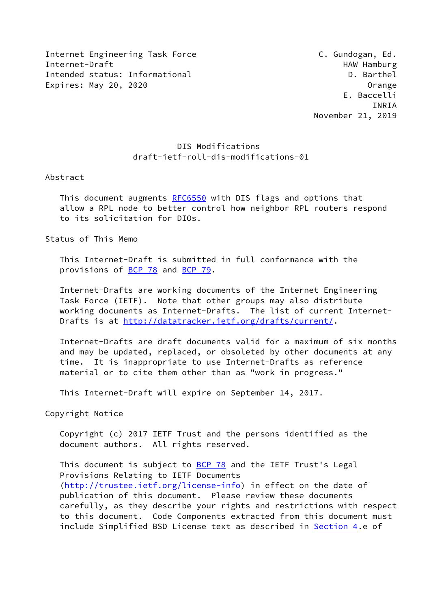Internet Engineering Task Force **C. Gundogan, Ed.** C. Gundogan, Ed. Internet-Draft **HAW Hamburg** HAW Hamburg Intended status: Informational D. Barthel Expires: May 20, 2020 **Campaign Control** Control Control Control Control Control Control Control Control Control Control Control Control Control Control Control Control Control Control Control Control Control Control Contr

## DIS Modifications draft-ietf-roll-dis-modifications-01

Abstract

This document augments [RFC6550](https://datatracker.ietf.org/doc/pdf/rfc6550) with DIS flags and options that allow a RPL node to better control how neighbor RPL routers respond to its solicitation for DIOs.

Status of This Memo

 This Internet-Draft is submitted in full conformance with the provisions of [BCP 78](https://datatracker.ietf.org/doc/pdf/bcp78) and [BCP 79](https://datatracker.ietf.org/doc/pdf/bcp79).

 Internet-Drafts are working documents of the Internet Engineering Task Force (IETF). Note that other groups may also distribute working documents as Internet-Drafts. The list of current Internet Drafts is at<http://datatracker.ietf.org/drafts/current/>.

 Internet-Drafts are draft documents valid for a maximum of six months and may be updated, replaced, or obsoleted by other documents at any time. It is inappropriate to use Internet-Drafts as reference material or to cite them other than as "work in progress."

This Internet-Draft will expire on September 14, 2017.

Copyright Notice

 Copyright (c) 2017 IETF Trust and the persons identified as the document authors. All rights reserved.

This document is subject to [BCP 78](https://datatracker.ietf.org/doc/pdf/bcp78) and the IETF Trust's Legal Provisions Relating to IETF Documents [\(http://trustee.ietf.org/license-info](http://trustee.ietf.org/license-info)) in effect on the date of publication of this document. Please review these documents carefully, as they describe your rights and restrictions with respect to this document. Code Components extracted from this document must include Simplified BSD License text as described in [Section 4.](#page-5-0)e of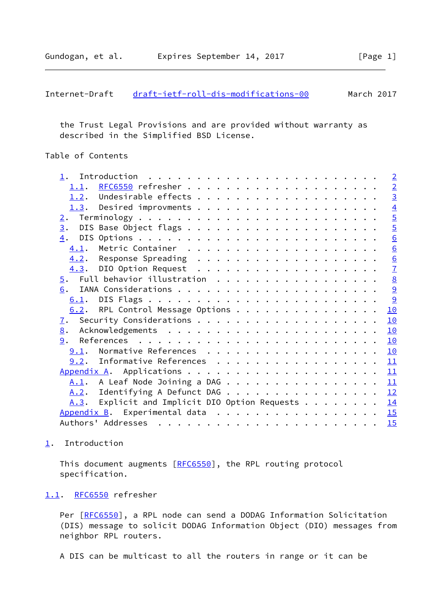```
draft-ietf-roll-dis-modifications-00 March 2017
```
 the Trust Legal Provisions and are provided without warranty as described in the Simplified BSD License.

### Table of Contents

|                                               |                                                    |  |  |  |  |  |  |  |  |  |  |  | $\sqrt{2}$      |
|-----------------------------------------------|----------------------------------------------------|--|--|--|--|--|--|--|--|--|--|--|-----------------|
|                                               |                                                    |  |  |  |  |  |  |  |  |  |  |  | $\overline{2}$  |
|                                               |                                                    |  |  |  |  |  |  |  |  |  |  |  | $\overline{3}$  |
|                                               |                                                    |  |  |  |  |  |  |  |  |  |  |  | $\overline{4}$  |
| 2.                                            |                                                    |  |  |  |  |  |  |  |  |  |  |  | $\overline{5}$  |
| $\overline{3}$ .                              |                                                    |  |  |  |  |  |  |  |  |  |  |  | $\overline{5}$  |
| 4.                                            |                                                    |  |  |  |  |  |  |  |  |  |  |  | 6               |
| 4.1.                                          |                                                    |  |  |  |  |  |  |  |  |  |  |  | 6               |
|                                               |                                                    |  |  |  |  |  |  |  |  |  |  |  | 6               |
|                                               |                                                    |  |  |  |  |  |  |  |  |  |  |  | $\overline{1}$  |
|                                               |                                                    |  |  |  |  |  |  |  |  |  |  |  | $\underline{8}$ |
| 6.                                            |                                                    |  |  |  |  |  |  |  |  |  |  |  | $\overline{9}$  |
|                                               |                                                    |  |  |  |  |  |  |  |  |  |  |  | 9               |
| $6.2$ . RPL Control Message Options           |                                                    |  |  |  |  |  |  |  |  |  |  |  | 10              |
| $\mathbf{I}$ .                                |                                                    |  |  |  |  |  |  |  |  |  |  |  | 10              |
| 8.                                            |                                                    |  |  |  |  |  |  |  |  |  |  |  | 10              |
| 9.                                            |                                                    |  |  |  |  |  |  |  |  |  |  |  | 10              |
| 9.1. Normative References                     |                                                    |  |  |  |  |  |  |  |  |  |  |  | 10              |
| $9.2$ . Informative References                |                                                    |  |  |  |  |  |  |  |  |  |  |  | 11              |
|                                               |                                                    |  |  |  |  |  |  |  |  |  |  |  | 11              |
| $\underline{A.1}$ . A Leaf Node Joining a DAG |                                                    |  |  |  |  |  |  |  |  |  |  |  | 11              |
| A.2. Identifying A Defunct DAG                |                                                    |  |  |  |  |  |  |  |  |  |  |  | 12              |
| A.3.                                          | Explicit and Implicit DIO Option Requests $\ldots$ |  |  |  |  |  |  |  |  |  |  |  | 14              |
| Appendix B. Experimental data                 |                                                    |  |  |  |  |  |  |  |  |  |  |  | 15              |
|                                               |                                                    |  |  |  |  |  |  |  |  |  |  |  | 15              |
|                                               |                                                    |  |  |  |  |  |  |  |  |  |  |  |                 |

# <span id="page-1-0"></span>[1](#page-1-0). Introduction

This document augments [\[RFC6550](https://datatracker.ietf.org/doc/pdf/rfc6550)], the RPL routing protocol specification.

#### <span id="page-1-2"></span>[1.1](#page-1-2). [RFC6550](https://datatracker.ietf.org/doc/pdf/rfc6550) refresher

Per [\[RFC6550](https://datatracker.ietf.org/doc/pdf/rfc6550)], a RPL node can send a DODAG Information Solicitation (DIS) message to solicit DODAG Information Object (DIO) messages from neighbor RPL routers.

A DIS can be multicast to all the routers in range or it can be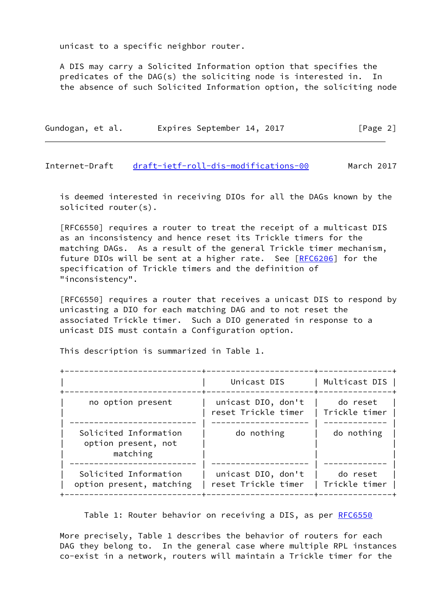unicast to a specific neighbor router.

 A DIS may carry a Solicited Information option that specifies the predicates of the DAG(s) the soliciting node is interested in. In the absence of such Solicited Information option, the soliciting node

| Gundogan, et al. | Expires September 14, 2017 | [Page 2] |
|------------------|----------------------------|----------|
|------------------|----------------------------|----------|

<span id="page-2-0"></span>Internet-Draft [draft-ietf-roll-dis-modifications-00](https://datatracker.ietf.org/doc/pdf/draft-ietf-roll-dis-modifications-00) March 2017

 is deemed interested in receiving DIOs for all the DAGs known by the solicited router(s).

 [RFC6550] requires a router to treat the receipt of a multicast DIS as an inconsistency and hence reset its Trickle timers for the matching DAGs. As a result of the general Trickle timer mechanism, future DIOs will be sent at a higher rate. See [\[RFC6206](https://datatracker.ietf.org/doc/pdf/rfc6206)] for the specification of Trickle timers and the definition of "inconsistency".

 [RFC6550] requires a router that receives a unicast DIS to respond by unicasting a DIO for each matching DAG and to not reset the associated Trickle timer. Such a DIO generated in response to a unicast DIS must contain a Configuration option.

This description is summarized in Table 1.

|                                                          | Unicast DIS                               | Multicast DIS             |
|----------------------------------------------------------|-------------------------------------------|---------------------------|
| no option present                                        | unicast DIO, don't<br>reset Trickle timer | do reset<br>Trickle timer |
| Solicited Information<br>option present, not<br>matching | do nothing                                | do nothing                |
| Solicited Information<br>option present, matching        | unicast DIO, don't<br>reset Trickle timer | do reset<br>Trickle timer |

Table 1: Router behavior on receiving a DIS, as per [RFC6550](https://datatracker.ietf.org/doc/pdf/rfc6550)

 More precisely, Table 1 describes the behavior of routers for each DAG they belong to. In the general case where multiple RPL instances co-exist in a network, routers will maintain a Trickle timer for the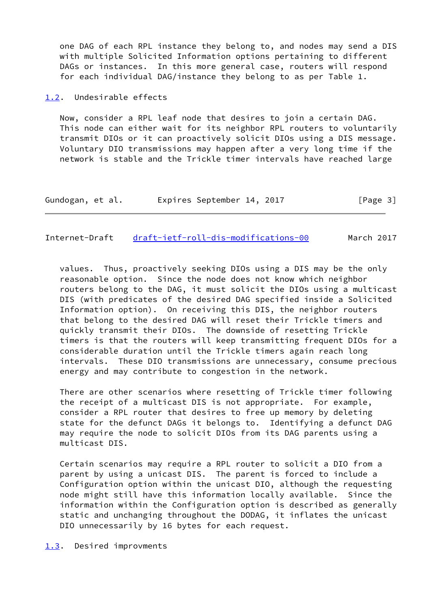one DAG of each RPL instance they belong to, and nodes may send a DIS with multiple Solicited Information options pertaining to different DAGs or instances. In this more general case, routers will respond for each individual DAG/instance they belong to as per Table 1.

<span id="page-3-0"></span>[1.2](#page-3-0). Undesirable effects

 Now, consider a RPL leaf node that desires to join a certain DAG. This node can either wait for its neighbor RPL routers to voluntarily transmit DIOs or it can proactively solicit DIOs using a DIS message. Voluntary DIO transmissions may happen after a very long time if the network is stable and the Trickle timer intervals have reached large

| Gundogan, et al. | Expires September 14, 2017 | [Page 3] |
|------------------|----------------------------|----------|
|------------------|----------------------------|----------|

### <span id="page-3-2"></span>Internet-Draft [draft-ietf-roll-dis-modifications-00](https://datatracker.ietf.org/doc/pdf/draft-ietf-roll-dis-modifications-00) March 2017

 values. Thus, proactively seeking DIOs using a DIS may be the only reasonable option. Since the node does not know which neighbor routers belong to the DAG, it must solicit the DIOs using a multicast DIS (with predicates of the desired DAG specified inside a Solicited Information option). On receiving this DIS, the neighbor routers that belong to the desired DAG will reset their Trickle timers and quickly transmit their DIOs. The downside of resetting Trickle timers is that the routers will keep transmitting frequent DIOs for a considerable duration until the Trickle timers again reach long intervals. These DIO transmissions are unnecessary, consume precious energy and may contribute to congestion in the network.

 There are other scenarios where resetting of Trickle timer following the receipt of a multicast DIS is not appropriate. For example, consider a RPL router that desires to free up memory by deleting state for the defunct DAGs it belongs to. Identifying a defunct DAG may require the node to solicit DIOs from its DAG parents using a multicast DIS.

 Certain scenarios may require a RPL router to solicit a DIO from a parent by using a unicast DIS. The parent is forced to include a Configuration option within the unicast DIO, although the requesting node might still have this information locally available. Since the information within the Configuration option is described as generally static and unchanging throughout the DODAG, it inflates the unicast DIO unnecessarily by 16 bytes for each request.

#### <span id="page-3-1"></span>[1.3](#page-3-1). Desired improvments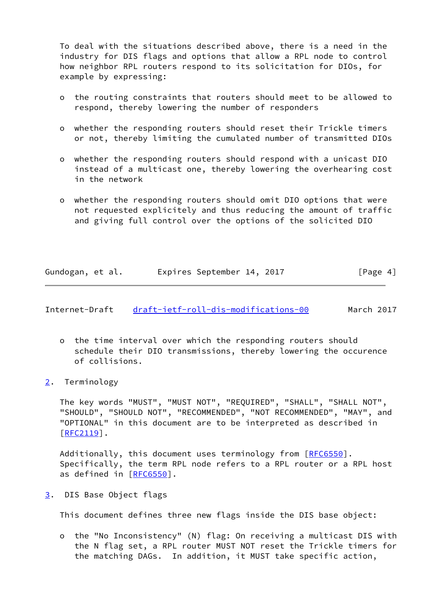To deal with the situations described above, there is a need in the industry for DIS flags and options that allow a RPL node to control how neighbor RPL routers respond to its solicitation for DIOs, for example by expressing:

- o the routing constraints that routers should meet to be allowed to respond, thereby lowering the number of responders
- o whether the responding routers should reset their Trickle timers or not, thereby limiting the cumulated number of transmitted DIOs
- o whether the responding routers should respond with a unicast DIO instead of a multicast one, thereby lowering the overhearing cost in the network
- o whether the responding routers should omit DIO options that were not requested explicitely and thus reducing the amount of traffic and giving full control over the options of the solicited DIO

|                  |  | Expires September 14, 2017 |  |          |  |
|------------------|--|----------------------------|--|----------|--|
| Gundogan, et al. |  |                            |  | [Page 4] |  |

<span id="page-4-1"></span>Internet-Draft [draft-ietf-roll-dis-modifications-00](https://datatracker.ietf.org/doc/pdf/draft-ietf-roll-dis-modifications-00) March 2017

- o the time interval over which the responding routers should schedule their DIO transmissions, thereby lowering the occurence of collisions.
- <span id="page-4-0"></span>[2](#page-4-0). Terminology

 The key words "MUST", "MUST NOT", "REQUIRED", "SHALL", "SHALL NOT", "SHOULD", "SHOULD NOT", "RECOMMENDED", "NOT RECOMMENDED", "MAY", and "OPTIONAL" in this document are to be interpreted as described in [\[RFC2119](https://datatracker.ietf.org/doc/pdf/rfc2119)].

Additionally, this document uses terminology from [[RFC6550](https://datatracker.ietf.org/doc/pdf/rfc6550)]. Specifically, the term RPL node refers to a RPL router or a RPL host as defined in [[RFC6550](https://datatracker.ietf.org/doc/pdf/rfc6550)].

<span id="page-4-2"></span>[3](#page-4-2). DIS Base Object flags

This document defines three new flags inside the DIS base object:

 o the "No Inconsistency" (N) flag: On receiving a multicast DIS with the N flag set, a RPL router MUST NOT reset the Trickle timers for the matching DAGs. In addition, it MUST take specific action,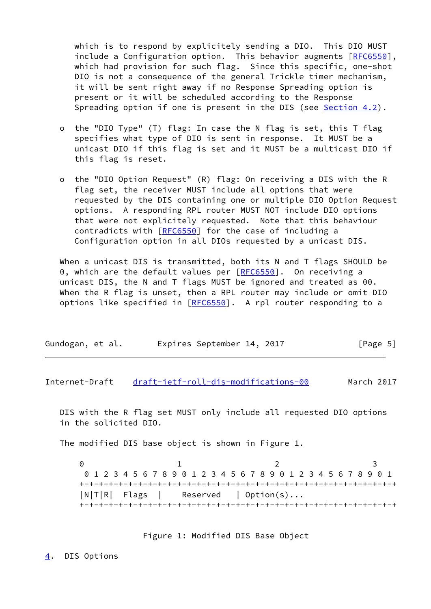which is to respond by explicitely sending a DIO. This DIO MUST include a Configuration option. This behavior augments [[RFC6550\]](https://datatracker.ietf.org/doc/pdf/rfc6550), which had provision for such flag. Since this specific, one-shot DIO is not a consequence of the general Trickle timer mechanism, it will be sent right away if no Response Spreading option is present or it will be scheduled according to the Response Spreading option if one is present in the DIS (see [Section 4.2](#page-6-1)).

- o the "DIO Type" (T) flag: In case the N flag is set, this T flag specifies what type of DIO is sent in response. It MUST be a unicast DIO if this flag is set and it MUST be a multicast DIO if this flag is reset.
- o the "DIO Option Request" (R) flag: On receiving a DIS with the R flag set, the receiver MUST include all options that were requested by the DIS containing one or multiple DIO Option Request options. A responding RPL router MUST NOT include DIO options that were not explicitely requested. Note that this behaviour contradicts with [\[RFC6550](https://datatracker.ietf.org/doc/pdf/rfc6550)] for the case of including a Configuration option in all DIOs requested by a unicast DIS.

When a unicast DIS is transmitted, both its N and T flags SHOULD be 0, which are the default values per [\[RFC6550](https://datatracker.ietf.org/doc/pdf/rfc6550)]. On receiving a unicast DIS, the N and T flags MUST be ignored and treated as 00. When the R flag is unset, then a RPL router may include or omit DIO options like specified in [[RFC6550](https://datatracker.ietf.org/doc/pdf/rfc6550)]. A rpl router responding to a

| Gundogan, et al. |  | Expires September 14, 2017 |  |  | [Page 5] |  |
|------------------|--|----------------------------|--|--|----------|--|
|------------------|--|----------------------------|--|--|----------|--|

<span id="page-5-1"></span>Internet-Draft [draft-ietf-roll-dis-modifications-00](https://datatracker.ietf.org/doc/pdf/draft-ietf-roll-dis-modifications-00) March 2017

 DIS with the R flag set MUST only include all requested DIO options in the solicited DIO.

The modified DIS base object is shown in Figure 1.

0 1 2 3 0 1 2 3 4 5 6 7 8 9 0 1 2 3 4 5 6 7 8 9 0 1 2 3 4 5 6 7 8 9 0 1 +-+-+-+-+-+-+-+-+-+-+-+-+-+-+-+-+-+-+-+-+-+-+-+-+-+-+-+-+-+-+-+-+ |N|T|R| Flags | Reserved | Option(s)... +-+-+-+-+-+-+-+-+-+-+-+-+-+-+-+-+-+-+-+-+-+-+-+-+-+-+-+-+-+-+-+-+

Figure 1: Modified DIS Base Object

<span id="page-5-0"></span>[4](#page-5-0). DIS Options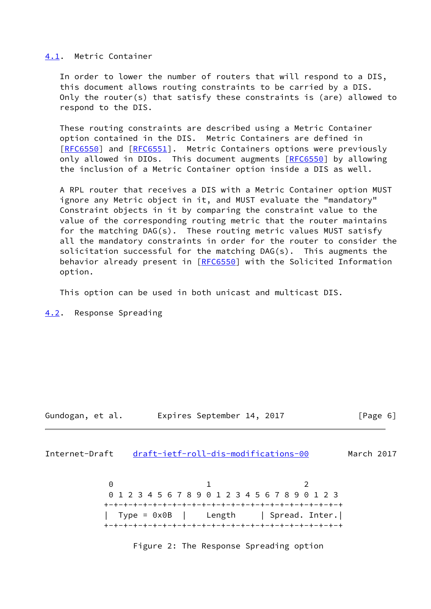#### <span id="page-6-0"></span>[4.1](#page-6-0). Metric Container

 In order to lower the number of routers that will respond to a DIS, this document allows routing constraints to be carried by a DIS. Only the router(s) that satisfy these constraints is (are) allowed to respond to the DIS.

 These routing constraints are described using a Metric Container option contained in the DIS. Metric Containers are defined in [\[RFC6550](https://datatracker.ietf.org/doc/pdf/rfc6550)] and [[RFC6551](https://datatracker.ietf.org/doc/pdf/rfc6551)]. Metric Containers options were previously only allowed in DIOs. This document augments [[RFC6550](https://datatracker.ietf.org/doc/pdf/rfc6550)] by allowing the inclusion of a Metric Container option inside a DIS as well.

 A RPL router that receives a DIS with a Metric Container option MUST ignore any Metric object in it, and MUST evaluate the "mandatory" Constraint objects in it by comparing the constraint value to the value of the corresponding routing metric that the router maintains for the matching DAG(s). These routing metric values MUST satisfy all the mandatory constraints in order for the router to consider the solicitation successful for the matching DAG(s). This augments the behavior already present in [\[RFC6550](https://datatracker.ietf.org/doc/pdf/rfc6550)] with the Solicited Information option.

This option can be used in both unicast and multicast DIS.

<span id="page-6-1"></span>[4.2](#page-6-1). Response Spreading

### Gundogan, et al. Expires September 14, 2017 [Page 6]

<span id="page-6-2"></span>Internet-Draft [draft-ietf-roll-dis-modifications-00](https://datatracker.ietf.org/doc/pdf/draft-ietf-roll-dis-modifications-00) March 2017

0 1 2 0 1 2 3 4 5 6 7 8 9 0 1 2 3 4 5 6 7 8 9 0 1 2 3 +-+-+-+-+-+-+-+-+-+-+-+-+-+-+-+-+-+-+-+-+-+-+-+-+ | Type = 0x0B | Length | Spread. Inter.| +-+-+-+-+-+-+-+-+-+-+-+-+-+-+-+-+-+-+-+-+-+-+-+-+

Figure 2: The Response Spreading option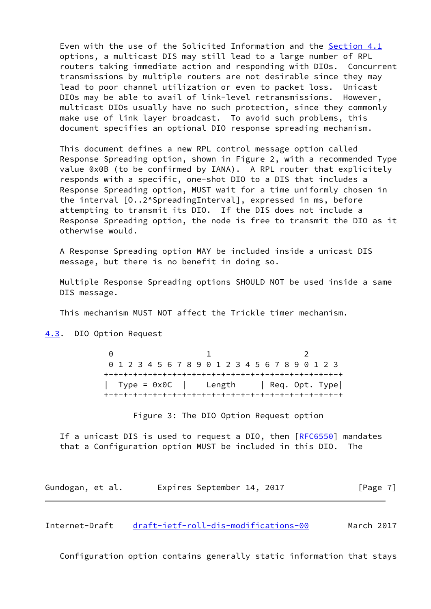Even with the use of the Solicited Information and the [Section 4.1](#page-6-0) options, a multicast DIS may still lead to a large number of RPL routers taking immediate action and responding with DIOs. Concurrent transmissions by multiple routers are not desirable since they may lead to poor channel utilization or even to packet loss. Unicast DIOs may be able to avail of link-level retransmissions. However, multicast DIOs usually have no such protection, since they commonly make use of link layer broadcast. To avoid such problems, this document specifies an optional DIO response spreading mechanism.

 This document defines a new RPL control message option called Response Spreading option, shown in Figure 2, with a recommended Type value 0x0B (to be confirmed by IANA). A RPL router that explicitely responds with a specific, one-shot DIO to a DIS that includes a Response Spreading option, MUST wait for a time uniformly chosen in the interval  $[0..2^s$ SpreadingInterval], expressed in ms, before attempting to transmit its DIO. If the DIS does not include a Response Spreading option, the node is free to transmit the DIO as it otherwise would.

 A Response Spreading option MAY be included inside a unicast DIS message, but there is no benefit in doing so.

 Multiple Response Spreading options SHOULD NOT be used inside a same DIS message.

This mechanism MUST NOT affect the Trickle timer mechanism.

<span id="page-7-0"></span>[4.3](#page-7-0). DIO Option Request

0 1 2 0 1 2 3 4 5 6 7 8 9 0 1 2 3 4 5 6 7 8 9 0 1 2 3 +-+-+-+-+-+-+-+-+-+-+-+-+-+-+-+-+-+-+-+-+-+-+-+-+ | Type = 0x0C | Length | Req. Opt. Type| +-+-+-+-+-+-+-+-+-+-+-+-+-+-+-+-+-+-+-+-+-+-+-+-+

Figure 3: The DIO Option Request option

If a unicast DIS is used to request a DIO, then [\[RFC6550](https://datatracker.ietf.org/doc/pdf/rfc6550)] mandates that a Configuration option MUST be included in this DIO. The

Gundogan, et al. 
Expires September 14, 2017

[Page 7]

<span id="page-7-1"></span>Internet-Draft [draft-ietf-roll-dis-modifications-00](https://datatracker.ietf.org/doc/pdf/draft-ietf-roll-dis-modifications-00) March 2017

Configuration option contains generally static information that stays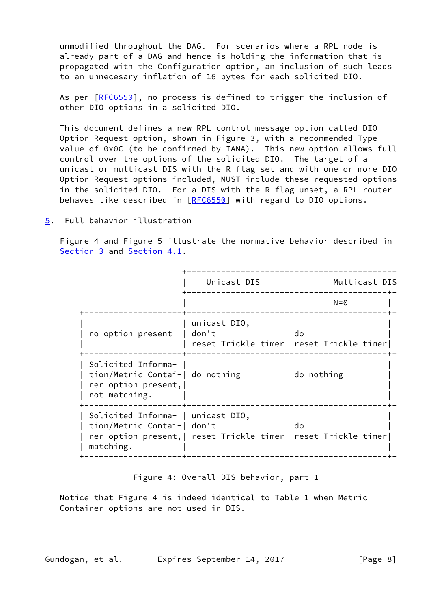unmodified throughout the DAG. For scenarios where a RPL node is already part of a DAG and hence is holding the information that is propagated with the Configuration option, an inclusion of such leads to an unnecesary inflation of 16 bytes for each solicited DIO.

 As per [\[RFC6550](https://datatracker.ietf.org/doc/pdf/rfc6550)], no process is defined to trigger the inclusion of other DIO options in a solicited DIO.

 This document defines a new RPL control message option called DIO Option Request option, shown in Figure 3, with a recommended Type value of 0x0C (to be confirmed by IANA). This new option allows full control over the options of the solicited DIO. The target of a unicast or multicast DIS with the R flag set and with one or more DIO Option Request options included, MUST include these requested options in the solicited DIO. For a DIS with the R flag unset, a RPL router behaves like described in [[RFC6550](https://datatracker.ietf.org/doc/pdf/rfc6550)] with regard to DIO options.

<span id="page-8-0"></span>[5](#page-8-0). Full behavior illustration

 Figure 4 and Figure 5 illustrate the normative behavior described in [Section 3](#page-4-2) and [Section 4.1](#page-6-0).

|                                                                                               | Unicast DIS                                                 | Multicast DIS                                  |
|-----------------------------------------------------------------------------------------------|-------------------------------------------------------------|------------------------------------------------|
|                                                                                               |                                                             | $N = 0$                                        |
| no option present                                                                             | unicast DIO,<br>don't                                       | do<br>reset Trickle timer  reset Trickle timer |
| Solicited Informa-<br>tion/Metric Contai-  do nothing<br>ner option present,<br>not matching. |                                                             | do nothing                                     |
| Solicited Informa-   unicast DIO,<br>tion/Metric Contai-  don't<br>matching.                  | ner option present, reset Trickle timer reset Trickle timer | do                                             |

Figure 4: Overall DIS behavior, part 1

 Notice that Figure 4 is indeed identical to Table 1 when Metric Container options are not used in DIS.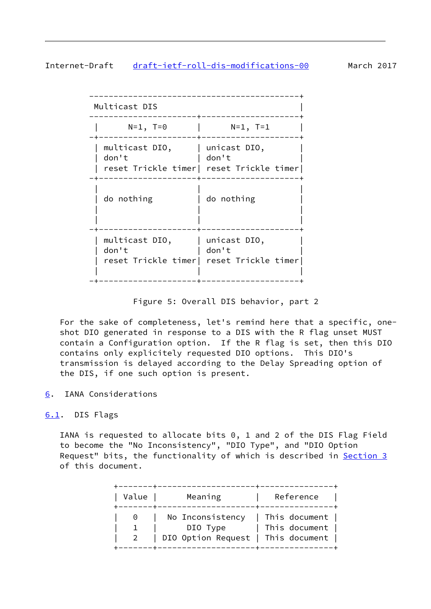# <span id="page-9-1"></span>Internet-Draft [draft-ietf-roll-dis-modifications-00](https://datatracker.ietf.org/doc/pdf/draft-ietf-roll-dis-modifications-00) March 2017

| Multicast DIS                          |                                                                   |
|----------------------------------------|-------------------------------------------------------------------|
| $N=1$ , T=0                            | $N=1$ , T=1                                                       |
| multicast DIO,<br>don't                | unicast DIO,<br>don't<br>reset Trickle timer  reset Trickle timer |
| do nothing                             | do nothing                                                        |
| multicast DIO,   unicast DIO,<br>don't | don't<br>reset Trickle timer  reset Trickle timer                 |

Figure 5: Overall DIS behavior, part 2

 For the sake of completeness, let's remind here that a specific, one shot DIO generated in response to a DIS with the R flag unset MUST contain a Configuration option. If the R flag is set, then this DIO contains only explicitely requested DIO options. This DIO's transmission is delayed according to the Delay Spreading option of the DIS, if one such option is present.

<span id="page-9-0"></span>[6](#page-9-0). IANA Considerations

## <span id="page-9-2"></span>[6.1](#page-9-2). DIS Flags

 IANA is requested to allocate bits 0, 1 and 2 of the DIS Flag Field to become the "No Inconsistency", "DIO Type", and "DIO Option Request" bits, the functionality of which is described in [Section 3](#page-4-2) of this document.

| Value | Meaning                                | Reference |
|-------|----------------------------------------|-----------|
|       | 0   No Inconsistency   This document   |           |
|       | DIO Type   This document               |           |
|       | 2   DIO Option Request   This document |           |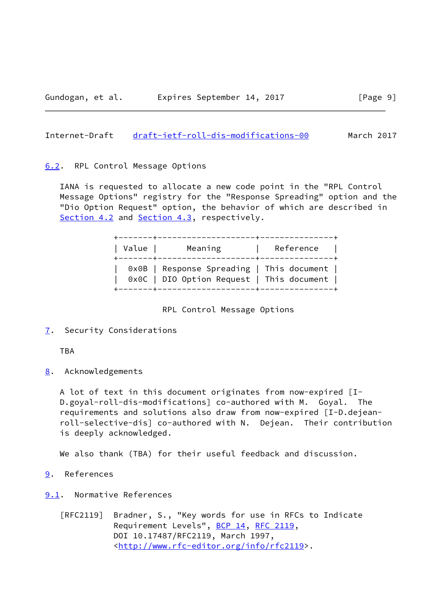### <span id="page-10-1"></span>Internet-Draft [draft-ietf-roll-dis-modifications-00](https://datatracker.ietf.org/doc/pdf/draft-ietf-roll-dis-modifications-00) March 2017

#### <span id="page-10-0"></span>[6.2](#page-10-0). RPL Control Message Options

 IANA is requested to allocate a new code point in the "RPL Control Message Options" registry for the "Response Spreading" option and the "Dio Option Request" option, the behavior of which are described in [Section 4.2](#page-6-1) and [Section 4.3](#page-7-0), respectively.

| Value | Meaning                                                                                  | <b>Example 1 Reference</b> |  |
|-------|------------------------------------------------------------------------------------------|----------------------------|--|
|       | 0x0B   Response Spreading   This document  <br>0x0C   DIO Option Request   This document |                            |  |

RPL Control Message Options

<span id="page-10-2"></span>[7](#page-10-2). Security Considerations

TBA

<span id="page-10-3"></span>[8](#page-10-3). Acknowledgements

 A lot of text in this document originates from now-expired [I- D.goyal-roll-dis-modifications] co-authored with M. Goyal. The requirements and solutions also draw from now-expired [I-D.dejean roll-selective-dis] co-authored with N. Dejean. Their contribution is deeply acknowledged.

We also thank (TBA) for their useful feedback and discussion.

- <span id="page-10-4"></span>[9](#page-10-4). References
- <span id="page-10-5"></span>[9.1](#page-10-5). Normative References
	- [RFC2119] Bradner, S., "Key words for use in RFCs to Indicate Requirement Levels", [BCP 14](https://datatracker.ietf.org/doc/pdf/bcp14), [RFC 2119](https://datatracker.ietf.org/doc/pdf/rfc2119), DOI 10.17487/RFC2119, March 1997, <<http://www.rfc-editor.org/info/rfc2119>>.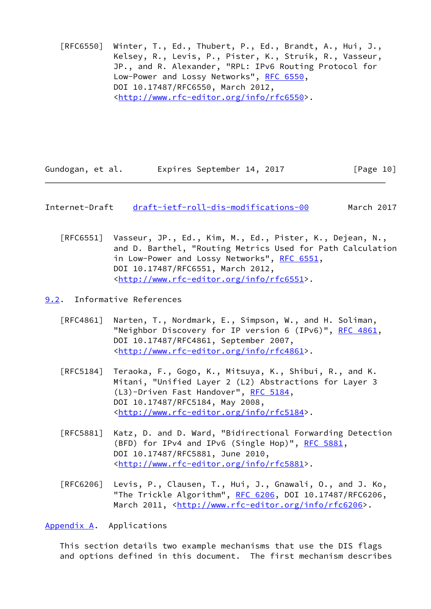[RFC6550] Winter, T., Ed., Thubert, P., Ed., Brandt, A., Hui, J., Kelsey, R., Levis, P., Pister, K., Struik, R., Vasseur, JP., and R. Alexander, "RPL: IPv6 Routing Protocol for Low-Power and Lossy Networks", [RFC 6550](https://datatracker.ietf.org/doc/pdf/rfc6550), DOI 10.17487/RFC6550, March 2012, <<http://www.rfc-editor.org/info/rfc6550>>.

Gundogan, et al. 
Expires September 14, 2017

[Page 10]

<span id="page-11-1"></span>Internet-Draft [draft-ietf-roll-dis-modifications-00](https://datatracker.ietf.org/doc/pdf/draft-ietf-roll-dis-modifications-00) March 2017

 [RFC6551] Vasseur, JP., Ed., Kim, M., Ed., Pister, K., Dejean, N., and D. Barthel, "Routing Metrics Used for Path Calculation in Low-Power and Lossy Networks", [RFC 6551](https://datatracker.ietf.org/doc/pdf/rfc6551), DOI 10.17487/RFC6551, March 2012, <<http://www.rfc-editor.org/info/rfc6551>>.

<span id="page-11-0"></span>[9.2](#page-11-0). Informative References

- [RFC4861] Narten, T., Nordmark, E., Simpson, W., and H. Soliman, "Neighbor Discovery for IP version 6 (IPv6)", [RFC 4861](https://datatracker.ietf.org/doc/pdf/rfc4861), DOI 10.17487/RFC4861, September 2007, <<http://www.rfc-editor.org/info/rfc4861>>.
- [RFC5184] Teraoka, F., Gogo, K., Mitsuya, K., Shibui, R., and K. Mitani, "Unified Layer 2 (L2) Abstractions for Layer 3 (L3)-Driven Fast Handover", [RFC 5184,](https://datatracker.ietf.org/doc/pdf/rfc5184) DOI 10.17487/RFC5184, May 2008, <<http://www.rfc-editor.org/info/rfc5184>>.
- [RFC5881] Katz, D. and D. Ward, "Bidirectional Forwarding Detection (BFD) for IPv4 and IPv6 (Single Hop)", [RFC 5881](https://datatracker.ietf.org/doc/pdf/rfc5881), DOI 10.17487/RFC5881, June 2010, <<http://www.rfc-editor.org/info/rfc5881>>.
- [RFC6206] Levis, P., Clausen, T., Hui, J., Gnawali, O., and J. Ko, "The Trickle Algorithm", [RFC 6206,](https://datatracker.ietf.org/doc/pdf/rfc6206) DOI 10.17487/RFC6206, March 2011, [<http://www.rfc-editor.org/info/rfc6206](http://www.rfc-editor.org/info/rfc6206)>.

<span id="page-11-2"></span>[Appendix A.](#page-11-2) Applications

 This section details two example mechanisms that use the DIS flags and options defined in this document. The first mechanism describes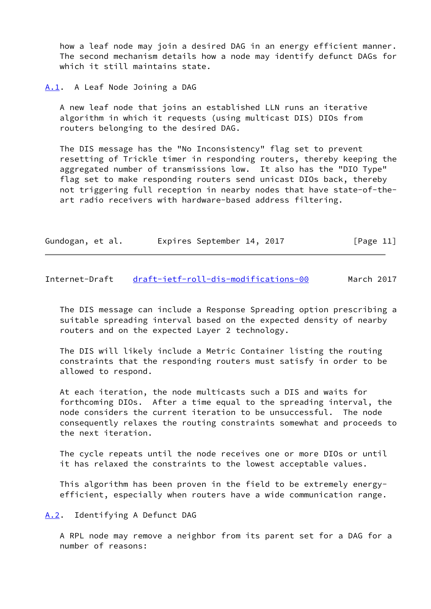how a leaf node may join a desired DAG in an energy efficient manner. The second mechanism details how a node may identify defunct DAGs for which it still maintains state.

<span id="page-12-0"></span>[A.1](#page-12-0). A Leaf Node Joining a DAG

 A new leaf node that joins an established LLN runs an iterative algorithm in which it requests (using multicast DIS) DIOs from routers belonging to the desired DAG.

 The DIS message has the "No Inconsistency" flag set to prevent resetting of Trickle timer in responding routers, thereby keeping the aggregated number of transmissions low. It also has the "DIO Type" flag set to make responding routers send unicast DIOs back, thereby not triggering full reception in nearby nodes that have state-of-the art radio receivers with hardware-based address filtering.

| Gundogan, et al. |  | Expires September 14, 2017 |  |  | [Page 11] |
|------------------|--|----------------------------|--|--|-----------|
|------------------|--|----------------------------|--|--|-----------|

<span id="page-12-2"></span>Internet-Draft [draft-ietf-roll-dis-modifications-00](https://datatracker.ietf.org/doc/pdf/draft-ietf-roll-dis-modifications-00) March 2017

 The DIS message can include a Response Spreading option prescribing a suitable spreading interval based on the expected density of nearby routers and on the expected Layer 2 technology.

 The DIS will likely include a Metric Container listing the routing constraints that the responding routers must satisfy in order to be allowed to respond.

 At each iteration, the node multicasts such a DIS and waits for forthcoming DIOs. After a time equal to the spreading interval, the node considers the current iteration to be unsuccessful. The node consequently relaxes the routing constraints somewhat and proceeds to the next iteration.

 The cycle repeats until the node receives one or more DIOs or until it has relaxed the constraints to the lowest acceptable values.

 This algorithm has been proven in the field to be extremely energy efficient, especially when routers have a wide communication range.

<span id="page-12-1"></span>[A.2](#page-12-1). Identifying A Defunct DAG

 A RPL node may remove a neighbor from its parent set for a DAG for a number of reasons: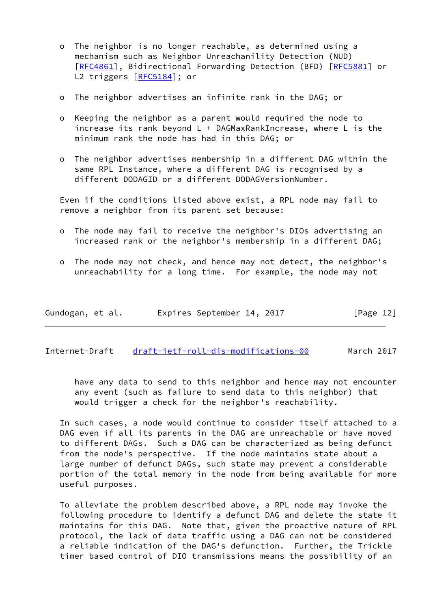- o The neighbor is no longer reachable, as determined using a mechanism such as Neighbor Unreachanility Detection (NUD) [[RFC4861\]](https://datatracker.ietf.org/doc/pdf/rfc4861), Bidirectional Forwarding Detection (BFD) [\[RFC5881](https://datatracker.ietf.org/doc/pdf/rfc5881)] or L2 triggers [\[RFC5184](https://datatracker.ietf.org/doc/pdf/rfc5184)]; or
- o The neighbor advertises an infinite rank in the DAG; or
- o Keeping the neighbor as a parent would required the node to increase its rank beyond L + DAGMaxRankIncrease, where L is the minimum rank the node has had in this DAG; or
- o The neighbor advertises membership in a different DAG within the same RPL Instance, where a different DAG is recognised by a different DODAGID or a different DODAGVersionNumber.

 Even if the conditions listed above exist, a RPL node may fail to remove a neighbor from its parent set because:

- o The node may fail to receive the neighbor's DIOs advertising an increased rank or the neighbor's membership in a different DAG;
- o The node may not check, and hence may not detect, the neighbor's unreachability for a long time. For example, the node may not

| Gundogan, et al. | Expires September 14, 2017 | [Page 12] |
|------------------|----------------------------|-----------|
|------------------|----------------------------|-----------|

Internet-Draft [draft-ietf-roll-dis-modifications-00](https://datatracker.ietf.org/doc/pdf/draft-ietf-roll-dis-modifications-00) March 2017

 have any data to send to this neighbor and hence may not encounter any event (such as failure to send data to this neighbor) that would trigger a check for the neighbor's reachability.

 In such cases, a node would continue to consider itself attached to a DAG even if all its parents in the DAG are unreachable or have moved to different DAGs. Such a DAG can be characterized as being defunct from the node's perspective. If the node maintains state about a large number of defunct DAGs, such state may prevent a considerable portion of the total memory in the node from being available for more useful purposes.

 To alleviate the problem described above, a RPL node may invoke the following procedure to identify a defunct DAG and delete the state it maintains for this DAG. Note that, given the proactive nature of RPL protocol, the lack of data traffic using a DAG can not be considered a reliable indication of the DAG's defunction. Further, the Trickle timer based control of DIO transmissions means the possibility of an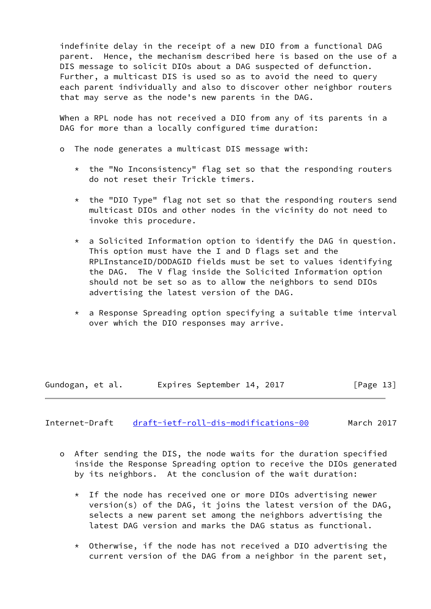indefinite delay in the receipt of a new DIO from a functional DAG parent. Hence, the mechanism described here is based on the use of a DIS message to solicit DIOs about a DAG suspected of defunction. Further, a multicast DIS is used so as to avoid the need to query each parent individually and also to discover other neighbor routers that may serve as the node's new parents in the DAG.

 When a RPL node has not received a DIO from any of its parents in a DAG for more than a locally configured time duration:

- o The node generates a multicast DIS message with:
	- \* the "No Inconsistency" flag set so that the responding routers do not reset their Trickle timers.
	- \* the "DIO Type" flag not set so that the responding routers send multicast DIOs and other nodes in the vicinity do not need to invoke this procedure.
	- $*$  a Solicited Information option to identify the DAG in question. This option must have the I and D flags set and the RPLInstanceID/DODAGID fields must be set to values identifying the DAG. The V flag inside the Solicited Information option should not be set so as to allow the neighbors to send DIOs advertising the latest version of the DAG.
	- \* a Response Spreading option specifying a suitable time interval over which the DIO responses may arrive.

Gundogan, et al. 
Expires September 14, 2017

[Page 13]

<span id="page-14-0"></span>Internet-Draft [draft-ietf-roll-dis-modifications-00](https://datatracker.ietf.org/doc/pdf/draft-ietf-roll-dis-modifications-00) March 2017

- o After sending the DIS, the node waits for the duration specified inside the Response Spreading option to receive the DIOs generated by its neighbors. At the conclusion of the wait duration:
	- \* If the node has received one or more DIOs advertising newer version(s) of the DAG, it joins the latest version of the DAG, selects a new parent set among the neighbors advertising the latest DAG version and marks the DAG status as functional.
	- \* Otherwise, if the node has not received a DIO advertising the current version of the DAG from a neighbor in the parent set,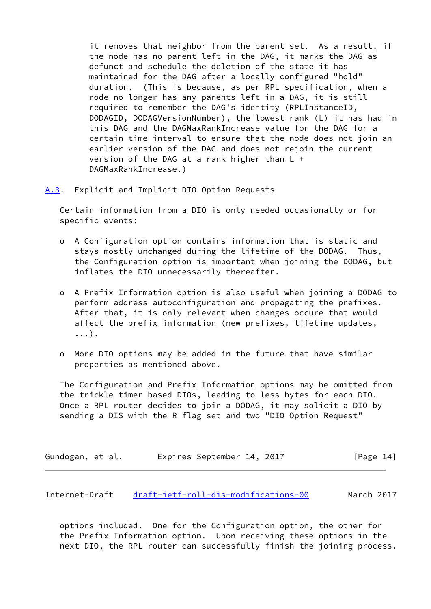it removes that neighbor from the parent set. As a result, if the node has no parent left in the DAG, it marks the DAG as defunct and schedule the deletion of the state it has maintained for the DAG after a locally configured "hold" duration. (This is because, as per RPL specification, when a node no longer has any parents left in a DAG, it is still required to remember the DAG's identity (RPLInstanceID, DODAGID, DODAGVersionNumber), the lowest rank (L) it has had in this DAG and the DAGMaxRankIncrease value for the DAG for a certain time interval to ensure that the node does not join an earlier version of the DAG and does not rejoin the current version of the DAG at a rank higher than  $L +$ DAGMaxRankIncrease.)

<span id="page-15-0"></span>[A.3](#page-15-0). Explicit and Implicit DIO Option Requests

 Certain information from a DIO is only needed occasionally or for specific events:

- o A Configuration option contains information that is static and stays mostly unchanged during the lifetime of the DODAG. Thus, the Configuration option is important when joining the DODAG, but inflates the DIO unnecessarily thereafter.
- o A Prefix Information option is also useful when joining a DODAG to perform address autoconfiguration and propagating the prefixes. After that, it is only relevant when changes occure that would affect the prefix information (new prefixes, lifetime updates, ...).
- o More DIO options may be added in the future that have similar properties as mentioned above.

 The Configuration and Prefix Information options may be omitted from the trickle timer based DIOs, leading to less bytes for each DIO. Once a RPL router decides to join a DODAG, it may solicit a DIO by sending a DIS with the R flag set and two "DIO Option Request"

| Gundogan, et al. | Expires September 14, 2017 | [Page 14] |
|------------------|----------------------------|-----------|
|------------------|----------------------------|-----------|

<span id="page-15-1"></span>Internet-Draft [draft-ietf-roll-dis-modifications-00](https://datatracker.ietf.org/doc/pdf/draft-ietf-roll-dis-modifications-00) March 2017

 options included. One for the Configuration option, the other for the Prefix Information option. Upon receiving these options in the next DIO, the RPL router can successfully finish the joining process.